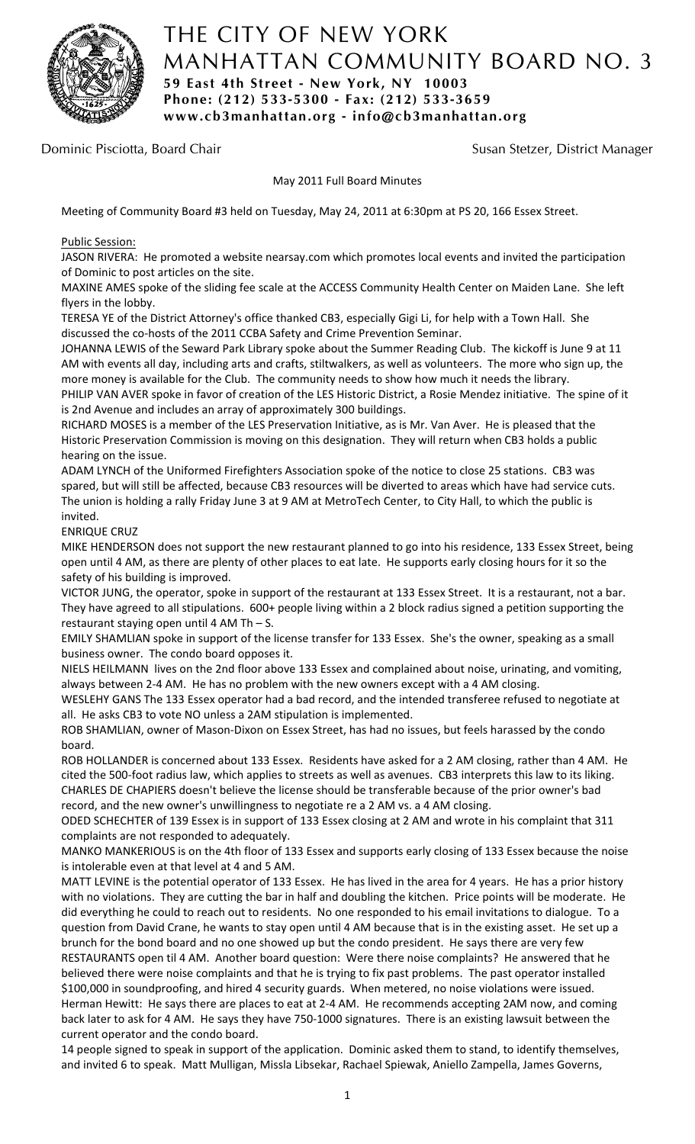

# THE CITY OF NEW YORK MANHATTAN COMMUNITY BOARD NO. 3 **59 East 4th Street - New York, NY 10003 Phone: (212) 533-5300 - Fax: (212) 533-3659 www.cb3manhattan.org - info@cb3manhattan.org**

Dominic Pisciotta, Board Chair Susan Stetzer, District Manager

May 2011 Full Board Minutes

Meeting of Community Board #3 held on Tuesday, May 24, 2011 at 6:30pm at PS 20, 166 Essex Street.

# Public Session:

JASON RIVERA: He promoted a website nearsay.com which promotes local events and invited the participation of Dominic to post articles on the site.

MAXINE AMES spoke of the sliding fee scale at the ACCESS Community Health Center on Maiden Lane. She left flyers in the lobby.

TERESA YE of the District Attorney's office thanked CB3, especially Gigi Li, for help with a Town Hall. She discussed the co-hosts of the 2011 CCBA Safety and Crime Prevention Seminar.

JOHANNA LEWIS of the Seward Park Library spoke about the Summer Reading Club. The kickoff is June 9 at 11 AM with events all day, including arts and crafts, stiltwalkers, as well as volunteers. The more who sign up, the more money is available for the Club. The community needs to show how much it needs the library.

PHILIP VAN AVER spoke in favor of creation of the LES Historic District, a Rosie Mendez initiative. The spine of it is 2nd Avenue and includes an array of approximately 300 buildings.

RICHARD MOSES is a member of the LES Preservation Initiative, as is Mr. Van Aver. He is pleased that the Historic Preservation Commission is moving on this designation. They will return when CB3 holds a public hearing on the issue.

ADAM LYNCH of the Uniformed Firefighters Association spoke of the notice to close 25 stations. CB3 was spared, but will still be affected, because CB3 resources will be diverted to areas which have had service cuts. The union is holding a rally Friday June 3 at 9 AM at MetroTech Center, to City Hall, to which the public is invited.

### ENRIQUE CRUZ

MIKE HENDERSON does not support the new restaurant planned to go into his residence, 133 Essex Street, being open until 4 AM, as there are plenty of other places to eat late. He supports early closing hours for it so the safety of his building is improved.

VICTOR JUNG, the operator, spoke in support of the restaurant at 133 Essex Street. It is a restaurant, not a bar. They have agreed to all stipulations. 600+ people living within a 2 block radius signed a petition supporting the restaurant staying open until 4 AM Th – S.

EMILY SHAMLIAN spoke in support of the license transfer for 133 Essex. She's the owner, speaking as a small business owner. The condo board opposes it.

NIELS HEILMANN lives on the 2nd floor above 133 Essex and complained about noise, urinating, and vomiting, always between 2‐4 AM. He has no problem with the new owners except with a 4 AM closing.

WESLEHY GANS The 133 Essex operator had a bad record, and the intended transferee refused to negotiate at all. He asks CB3 to vote NO unless a 2AM stipulation is implemented.

ROB SHAMLIAN, owner of Mason‐Dixon on Essex Street, has had no issues, but feels harassed by the condo board.

ROB HOLLANDER is concerned about 133 Essex. Residents have asked for a 2 AM closing, rather than 4 AM. He cited the 500‐foot radius law, which applies to streets as well as avenues. CB3 interprets this law to its liking. CHARLES DE CHAPIERS doesn't believe the license should be transferable because of the prior owner's bad record, and the new owner's unwillingness to negotiate re a 2 AM vs. a 4 AM closing.

ODED SCHECHTER of 139 Essex is in support of 133 Essex closing at 2 AM and wrote in his complaint that 311 complaints are not responded to adequately.

MANKO MANKERIOUS is on the 4th floor of 133 Essex and supports early closing of 133 Essex because the noise is intolerable even at that level at 4 and 5 AM.

MATT LEVINE is the potential operator of 133 Essex. He has lived in the area for 4 years. He has a prior history with no violations. They are cutting the bar in half and doubling the kitchen. Price points will be moderate. He did everything he could to reach out to residents. No one responded to his email invitations to dialogue. To a question from David Crane, he wants to stay open until 4 AM because that is in the existing asset. He set up a brunch for the bond board and no one showed up but the condo president. He says there are very few RESTAURANTS open til 4 AM. Another board question: Were there noise complaints? He answered that he believed there were noise complaints and that he is trying to fix past problems. The past operator installed \$100,000 in soundproofing, and hired 4 security guards. When metered, no noise violations were issued. Herman Hewitt: He says there are places to eat at 2‐4 AM. He recommends accepting 2AM now, and coming back later to ask for 4 AM. He says they have 750‐1000 signatures. There is an existing lawsuit between the current operator and the condo board.

14 people signed to speak in support of the application. Dominic asked them to stand, to identify themselves, and invited 6 to speak. Matt Mulligan, Missla Libsekar, Rachael Spiewak, Aniello Zampella, James Governs,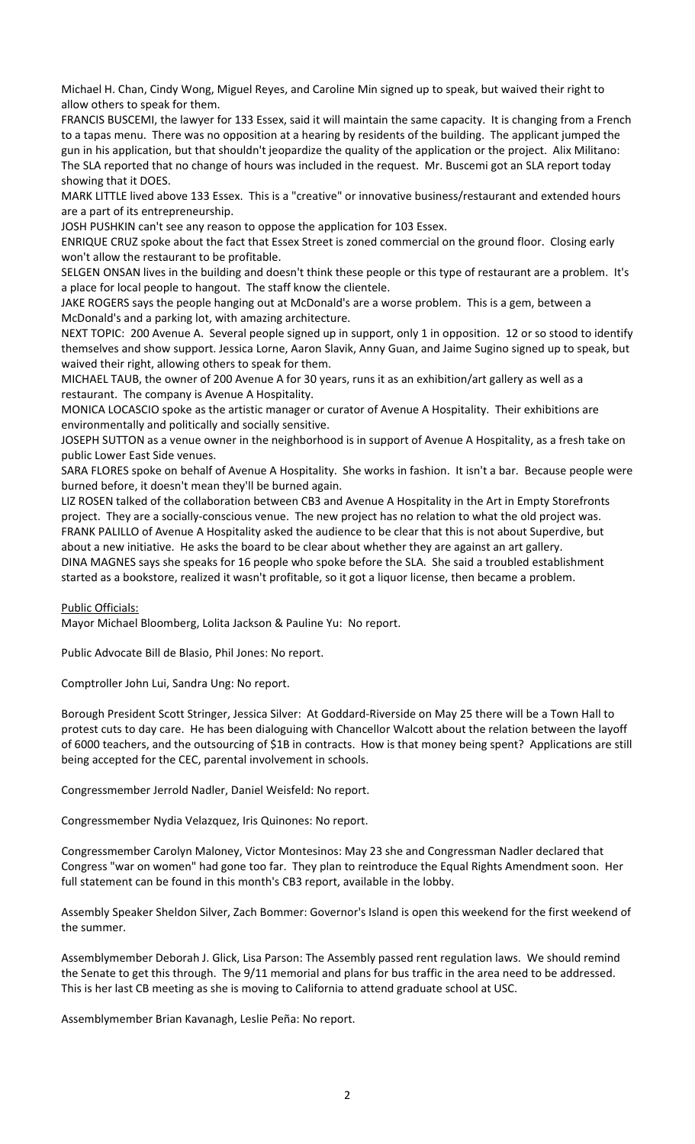Michael H. Chan, Cindy Wong, Miguel Reyes, and Caroline Min signed up to speak, but waived their right to allow others to speak for them.

FRANCIS BUSCEMI, the lawyer for 133 Essex, said it will maintain the same capacity. It is changing from a French to a tapas menu. There was no opposition at a hearing by residents of the building. The applicant jumped the gun in his application, but that shouldn't jeopardize the quality of the application or the project. Alix Militano: The SLA reported that no change of hours was included in the request. Mr. Buscemi got an SLA report today showing that it DOES.

MARK LITTLE lived above 133 Essex. This is a "creative" or innovative business/restaurant and extended hours are a part of its entrepreneurship.

JOSH PUSHKIN can't see any reason to oppose the application for 103 Essex.

ENRIQUE CRUZ spoke about the fact that Essex Street is zoned commercial on the ground floor. Closing early won't allow the restaurant to be profitable.

SELGEN ONSAN lives in the building and doesn't think these people or this type of restaurant are a problem. It's a place for local people to hangout. The staff know the clientele.

JAKE ROGERS says the people hanging out at McDonald's are a worse problem. This is a gem, between a McDonald's and a parking lot, with amazing architecture.

NEXT TOPIC: 200 Avenue A. Several people signed up in support, only 1 in opposition. 12 or so stood to identify themselves and show support. Jessica Lorne, Aaron Slavik, Anny Guan, and Jaime Sugino signed up to speak, but waived their right, allowing others to speak for them.

MICHAEL TAUB, the owner of 200 Avenue A for 30 years, runs it as an exhibition/art gallery as well as a restaurant. The company is Avenue A Hospitality.

MONICA LOCASCIO spoke as the artistic manager or curator of Avenue A Hospitality. Their exhibitions are environmentally and politically and socially sensitive.

JOSEPH SUTTON as a venue owner in the neighborhood is in support of Avenue A Hospitality, as a fresh take on public Lower East Side venues.

SARA FLORES spoke on behalf of Avenue A Hospitality. She works in fashion. It isn't a bar. Because people were burned before, it doesn't mean they'll be burned again.

LIZ ROSEN talked of the collaboration between CB3 and Avenue A Hospitality in the Art in Empty Storefronts project. They are a socially‐conscious venue. The new project has no relation to what the old project was. FRANK PALILLO of Avenue A Hospitality asked the audience to be clear that this is not about Superdive, but about a new initiative. He asks the board to be clear about whether they are against an art gallery. DINA MAGNES says she speaks for 16 people who spoke before the SLA. She said a troubled establishment started as a bookstore, realized it wasn't profitable, so it got a liquor license, then became a problem.

### Public Officials:

Mayor Michael Bloomberg, Lolita Jackson & Pauline Yu: No report.

Public Advocate Bill de Blasio, Phil Jones: No report.

Comptroller John Lui, Sandra Ung: No report.

Borough President Scott Stringer, Jessica Silver: At Goddard‐Riverside on May 25 there will be a Town Hall to protest cuts to day care. He has been dialoguing with Chancellor Walcott about the relation between the layoff of 6000 teachers, and the outsourcing of \$1B in contracts. How is that money being spent? Applications are still being accepted for the CEC, parental involvement in schools.

Congressmember Jerrold Nadler, Daniel Weisfeld: No report.

Congressmember Nydia Velazquez, Iris Quinones: No report.

Congressmember Carolyn Maloney, Victor Montesinos: May 23 she and Congressman Nadler declared that Congress "war on women" had gone too far. They plan to reintroduce the Equal Rights Amendment soon. Her full statement can be found in this month's CB3 report, available in the lobby.

Assembly Speaker Sheldon Silver, Zach Bommer: Governor's Island is open this weekend for the first weekend of the summer.

Assemblymember Deborah J. Glick, Lisa Parson: The Assembly passed rent regulation laws. We should remind the Senate to get this through. The 9/11 memorial and plans for bus traffic in the area need to be addressed. This is her last CB meeting as she is moving to California to attend graduate school at USC.

Assemblymember Brian Kavanagh, Leslie Peña: No report.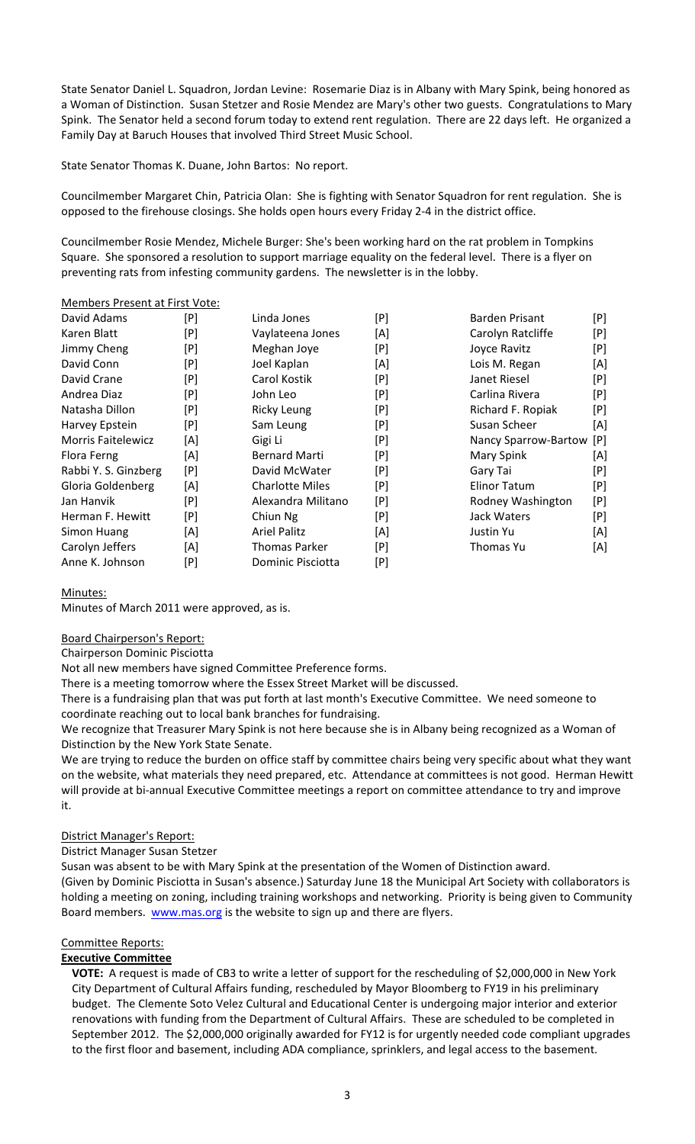State Senator Daniel L. Squadron, Jordan Levine: Rosemarie Diaz is in Albany with Mary Spink, being honored as a Woman of Distinction. Susan Stetzer and Rosie Mendez are Mary's other two guests. Congratulations to Mary Spink. The Senator held a second forum today to extend rent regulation. There are 22 days left. He organized a Family Day at Baruch Houses that involved Third Street Music School.

State Senator Thomas K. Duane, John Bartos: No report.

Councilmember Margaret Chin, Patricia Olan: She is fighting with Senator Squadron for rent regulation. She is opposed to the firehouse closings. She holds open hours every Friday 2‐4 in the district office.

Councilmember Rosie Mendez, Michele Burger: She's been working hard on the rat problem in Tompkins Square. She sponsored a resolution to support marriage equality on the federal level. There is a flyer on preventing rats from infesting community gardens. The newsletter is in the lobby.

#### Members Present at First Vote:

| David Adams               | [P] | Linda Jones            | [P] | Barden Prisant       | [P] |
|---------------------------|-----|------------------------|-----|----------------------|-----|
| Karen Blatt               | [P] | Vaylateena Jones       | [A] | Carolyn Ratcliffe    | [P] |
| Jimmy Cheng               | [P] | Meghan Joye            | [P] | Joyce Ravitz         | [P] |
| David Conn                | [P] | Joel Kaplan            | [A] | Lois M. Regan        | [A] |
| David Crane               | [P] | Carol Kostik           | [P] | Janet Riesel         | [P] |
| Andrea Diaz               | [P] | John Leo               | [P] | Carlina Rivera       | [P] |
| Natasha Dillon            | [P] | <b>Ricky Leung</b>     | [P] | Richard F. Ropiak    | [P] |
| Harvey Epstein            | [P] | Sam Leung              | [P] | Susan Scheer         | [A] |
| <b>Morris Faitelewicz</b> | [A] | Gigi Li                | [P] | Nancy Sparrow-Bartow | [P] |
| Flora Ferng               | [A] | <b>Bernard Marti</b>   | [P] | Mary Spink           | [A] |
| Rabbi Y. S. Ginzberg      | [P] | David McWater          | [P] | Gary Tai             | [P] |
| Gloria Goldenberg         | [A] | <b>Charlotte Miles</b> | [P] | Elinor Tatum         | [P] |
| Jan Hanvik                | [P] | Alexandra Militano     | [P] | Rodney Washington    | [P] |
| Herman F. Hewitt          | [P] | Chiun Ng               | [P] | Jack Waters          | [P] |
| Simon Huang               | [A] | <b>Ariel Palitz</b>    | [A] | Justin Yu            | [A] |
| Carolyn Jeffers           | [A] | Thomas Parker          | [P] | Thomas Yu            | [A] |
| Anne K. Johnson           | [P] | Dominic Pisciotta      | [P] |                      |     |

### Minutes:

Minutes of March 2011 were approved, as is.

Board Chairperson's Report:

Chairperson Dominic Pisciotta

Not all new members have signed Committee Preference forms.

There is a meeting tomorrow where the Essex Street Market will be discussed.

There is a fundraising plan that was put forth at last month's Executive Committee. We need someone to coordinate reaching out to local bank branches for fundraising.

We recognize that Treasurer Mary Spink is not here because she is in Albany being recognized as a Woman of Distinction by the New York State Senate.

We are trying to reduce the burden on office staff by committee chairs being very specific about what they want on the website, what materials they need prepared, etc. Attendance at committees is not good. Herman Hewitt will provide at bi‐annual Executive Committee meetings a report on committee attendance to try and improve it.

### District Manager's Report:

District Manager Susan Stetzer

Susan was absent to be with Mary Spink at the presentation of the Women of Distinction award. (Given by Dominic Pisciotta in Susan's absence.) Saturday June 18 the Municipal Art Society with collaborators is holding a meeting on zoning, including training workshops and networking. Priority is being given to Community Board members. **WWW.mas.org** is the website to sign up and there are flyers.

### Committee Reports:

### **Executive Committee**

**VOTE:** A request is made of CB3 to write a letter of support for the rescheduling of \$2,000,000 in New York City Department of Cultural Affairs funding, rescheduled by Mayor Bloomberg to FY19 in his preliminary budget. The Clemente Soto Velez Cultural and Educational Center is undergoing major interior and exterior renovations with funding from the Department of Cultural Affairs. These are scheduled to be completed in September 2012. The \$2,000,000 originally awarded for FY12 is for urgently needed code compliant upgrades to the first floor and basement, including ADA compliance, sprinklers, and legal access to the basement.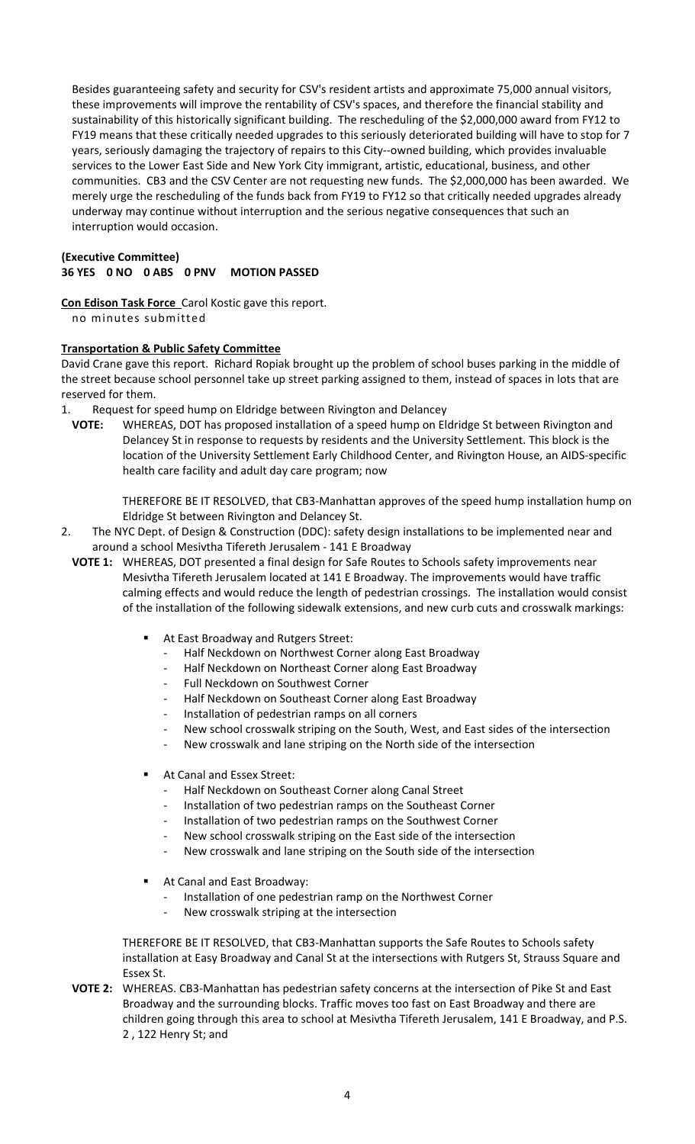Besides guaranteeing safety and security for CSV's resident artists and approximate 75,000 annual visitors, these improvements will improve the rentability of CSV's spaces, and therefore the financial stability and sustainability of this historically significant building. The rescheduling of the \$2,000,000 award from FY12 to FY19 means that these critically needed upgrades to this seriously deteriorated building will have to stop for 7 years, seriously damaging the trajectory of repairs to this City‐‐owned building, which provides invaluable services to the Lower East Side and New York City immigrant, artistic, educational, business, and other communities. CB3 and the CSV Center are not requesting new funds. The \$2,000,000 has been awarded. We merely urge the rescheduling of the funds back from FY19 to FY12 so that critically needed upgrades already underway may continue without interruption and the serious negative consequences that such an interruption would occasion.

# **(Executive Committee) 36 YES 0 NO 0 ABS 0 PNV MOTION PASSED**

**Con Edison Task Force** Carol Kostic gave this report. no minutes submitted

### **Transportation & Public Safety Committee**

David Crane gave this report. Richard Ropiak brought up the problem of school buses parking in the middle of the street because school personnel take up street parking assigned to them, instead of spaces in lots that are reserved for them.

- 1. Request for speed hump on Eldridge between Rivington and Delancey
- **VOTE:** WHEREAS, DOT has proposed installation of a speed hump on Eldridge St between Rivington and Delancey St in response to requests by residents and the University Settlement. This block is the location of the University Settlement Early Childhood Center, and Rivington House, an AIDS‐specific health care facility and adult day care program; now

THEREFORE BE IT RESOLVED, that CB3‐Manhattan approves of the speed hump installation hump on Eldridge St between Rivington and Delancey St.

- 2. The NYC Dept. of Design & Construction (DDC): safety design installations to be implemented near and around a school Mesivtha Tifereth Jerusalem ‐ 141 E Broadway
	- **VOTE 1:** WHEREAS, DOT presented a final design for Safe Routes to Schools safety improvements near Mesivtha Tifereth Jerusalem located at 141 E Broadway. The improvements would have traffic calming effects and would reduce the length of pedestrian crossings. The installation would consist of the installation of the following sidewalk extensions, and new curb cuts and crosswalk markings:
		- At East Broadway and Rutgers Street:
			- ‐ Half Neckdown on Northwest Corner along East Broadway
			- ‐ Half Neckdown on Northeast Corner along East Broadway
			- Full Neckdown on Southwest Corner
			- ‐ Half Neckdown on Southeast Corner along East Broadway
			- Installation of pedestrian ramps on all corners
			- New school crosswalk striping on the South, West, and East sides of the intersection
			- New crosswalk and lane striping on the North side of the intersection
		- At Canal and Essex Street:
			- ‐ Half Neckdown on Southeast Corner along Canal Street
			- Installation of two pedestrian ramps on the Southeast Corner
			- Installation of two pedestrian ramps on the Southwest Corner
			- New school crosswalk striping on the East side of the intersection
			- New crosswalk and lane striping on the South side of the intersection
		- At Canal and East Broadway:
			- Installation of one pedestrian ramp on the Northwest Corner
			- ‐ New crosswalk striping at the intersection

THEREFORE BE IT RESOLVED, that CB3‐Manhattan supports the Safe Routes to Schools safety installation at Easy Broadway and Canal St at the intersections with Rutgers St, Strauss Square and Essex St.

**VOTE 2:** WHEREAS. CB3‐Manhattan has pedestrian safety concerns at the intersection of Pike St and East Broadway and the surrounding blocks. Traffic moves too fast on East Broadway and there are children going through this area to school at Mesivtha Tifereth Jerusalem, 141 E Broadway, and P.S. 2 , 122 Henry St; and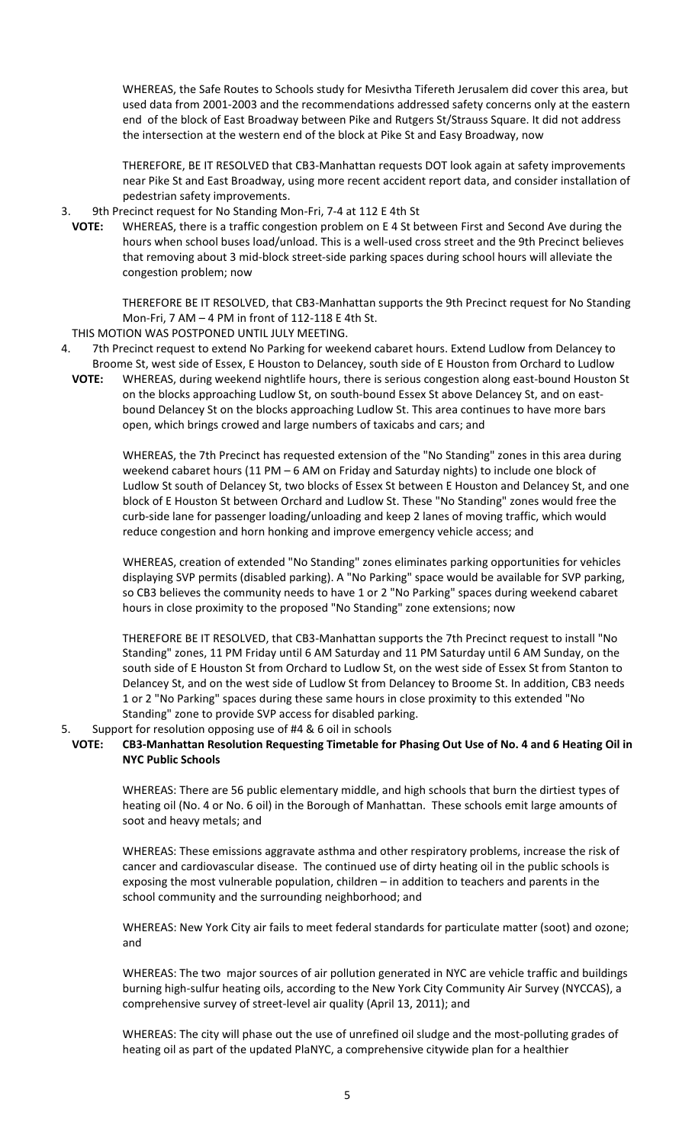WHEREAS, the Safe Routes to Schools study for Mesivtha Tifereth Jerusalem did cover this area, but used data from 2001‐2003 and the recommendations addressed safety concerns only at the eastern end of the block of East Broadway between Pike and Rutgers St/Strauss Square. It did not address the intersection at the western end of the block at Pike St and Easy Broadway, now

THEREFORE, BE IT RESOLVED that CB3‐Manhattan requests DOT look again at safety improvements near Pike St and East Broadway, using more recent accident report data, and consider installation of pedestrian safety improvements.

#### 3. 9th Precinct request for No Standing Mon‐Fri, 7‐4 at 112 E 4th St

**VOTE:** WHEREAS, there is a traffic congestion problem on E 4 St between First and Second Ave during the hours when school buses load/unload. This is a well-used cross street and the 9th Precinct believes that removing about 3 mid‐block street‐side parking spaces during school hours will alleviate the congestion problem; now

THEREFORE BE IT RESOLVED, that CB3‐Manhattan supports the 9th Precinct request for No Standing Mon‐Fri, 7 AM – 4 PM in front of 112‐118 E 4th St.

- THIS MOTION WAS POSTPONED UNTIL JULY MEETING.
- 4. 7th Precinct request to extend No Parking for weekend cabaret hours. Extend Ludlow from Delancey to Broome St, west side of Essex, E Houston to Delancey, south side of E Houston from Orchard to Ludlow
- VOTE: WHEREAS, during weekend nightlife hours, there is serious congestion along east-bound Houston St on the blocks approaching Ludlow St, on south‐bound Essex St above Delancey St, and on east‐ bound Delancey St on the blocks approaching Ludlow St. This area continues to have more bars open, which brings crowed and large numbers of taxicabs and cars; and

WHEREAS, the 7th Precinct has requested extension of the "No Standing" zones in this area during weekend cabaret hours (11 PM – 6 AM on Friday and Saturday nights) to include one block of Ludlow St south of Delancey St, two blocks of Essex St between E Houston and Delancey St, and one block of E Houston St between Orchard and Ludlow St. These "No Standing" zones would free the curb-side lane for passenger loading/unloading and keep 2 lanes of moving traffic, which would reduce congestion and horn honking and improve emergency vehicle access; and

WHEREAS, creation of extended "No Standing" zones eliminates parking opportunities for vehicles displaying SVP permits (disabled parking). A "No Parking" space would be available for SVP parking, so CB3 believes the community needs to have 1 or 2 "No Parking" spaces during weekend cabaret hours in close proximity to the proposed "No Standing" zone extensions; now

THEREFORE BE IT RESOLVED, that CB3‐Manhattan supports the 7th Precinct request to install "No Standing" zones, 11 PM Friday until 6 AM Saturday and 11 PM Saturday until 6 AM Sunday, on the south side of E Houston St from Orchard to Ludlow St, on the west side of Essex St from Stanton to Delancey St, and on the west side of Ludlow St from Delancey to Broome St. In addition, CB3 needs 1 or 2 "No Parking" spaces during these same hours in close proximity to this extended "No Standing" zone to provide SVP access for disabled parking.

### 5. Support for resolution opposing use of #4 & 6 oil in schools

# VOTE: CB3-Manhattan Resolution Requesting Timetable for Phasing Out Use of No. 4 and 6 Heating Oil in **NYC Public Schools**

WHEREAS: There are 56 public elementary middle, and high schools that burn the dirtiest types of heating oil (No. 4 or No. 6 oil) in the Borough of Manhattan. These schools emit large amounts of soot and heavy metals; and

WHEREAS: These emissions aggravate asthma and other respiratory problems, increase the risk of cancer and cardiovascular disease. The continued use of dirty heating oil in the public schools is exposing the most vulnerable population, children – in addition to teachers and parents in the school community and the surrounding neighborhood; and

WHEREAS: New York City air fails to meet federal standards for particulate matter (soot) and ozone; and

WHEREAS: The two major sources of air pollution generated in NYC are vehicle traffic and buildings burning high‐sulfur heating oils, according to the New York City Community Air Survey (NYCCAS), a comprehensive survey of street-level air quality (April 13, 2011); and

WHEREAS: The city will phase out the use of unrefined oil sludge and the most-polluting grades of heating oil as part of the updated PlaNYC, a comprehensive citywide plan for a healthier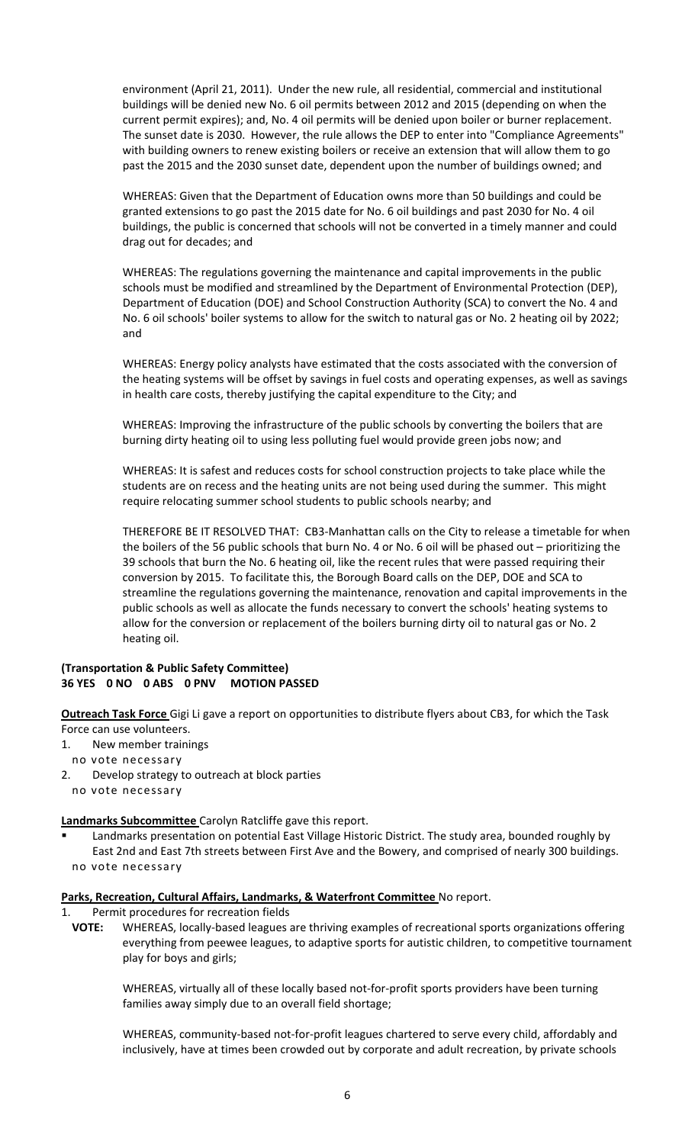environment (April 21, 2011). Under the new rule, all residential, commercial and institutional buildings will be denied new No. 6 oil permits between 2012 and 2015 (depending on when the current permit expires); and, No. 4 oil permits will be denied upon boiler or burner replacement. The sunset date is 2030. However, the rule allows the DEP to enter into "Compliance Agreements" with building owners to renew existing boilers or receive an extension that will allow them to go past the 2015 and the 2030 sunset date, dependent upon the number of buildings owned; and

WHEREAS: Given that the Department of Education owns more than 50 buildings and could be granted extensions to go past the 2015 date for No. 6 oil buildings and past 2030 for No. 4 oil buildings, the public is concerned that schools will not be converted in a timely manner and could drag out for decades; and

WHEREAS: The regulations governing the maintenance and capital improvements in the public schools must be modified and streamlined by the Department of Environmental Protection (DEP), Department of Education (DOE) and School Construction Authority (SCA) to convert the No. 4 and No. 6 oil schools' boiler systems to allow for the switch to natural gas or No. 2 heating oil by 2022; and

WHEREAS: Energy policy analysts have estimated that the costs associated with the conversion of the heating systems will be offset by savings in fuel costs and operating expenses, as well as savings in health care costs, thereby justifying the capital expenditure to the City; and

WHEREAS: Improving the infrastructure of the public schools by converting the boilers that are burning dirty heating oil to using less polluting fuel would provide green jobs now; and

WHEREAS: It is safest and reduces costs for school construction projects to take place while the students are on recess and the heating units are not being used during the summer. This might require relocating summer school students to public schools nearby; and

THEREFORE BE IT RESOLVED THAT: CB3‐Manhattan calls on the City to release a timetable for when the boilers of the 56 public schools that burn No. 4 or No. 6 oil will be phased out – prioritizing the 39 schools that burn the No. 6 heating oil, like the recent rules that were passed requiring their conversion by 2015. To facilitate this, the Borough Board calls on the DEP, DOE and SCA to streamline the regulations governing the maintenance, renovation and capital improvements in the public schools as well as allocate the funds necessary to convert the schools' heating systems to allow for the conversion or replacement of the boilers burning dirty oil to natural gas or No. 2 heating oil.

### **(Transportation & Public Safety Committee) 36 YES 0 NO 0 ABS 0 PNV MOTION PASSED**

**Outreach Task Force** Gigi Li gave a report on opportunities to distribute flyers about CB3, for which the Task Force can use volunteers.

- 1. New member trainings
- no vote necessary
- 2. Develop strategy to outreach at block parties no vote necessary

**Landmarks Subcommittee** Carolyn Ratcliffe gave this report.

 Landmarks presentation on potential East Village Historic District. The study area, bounded roughly by East 2nd and East 7th streets between First Ave and the Bowery, and comprised of nearly 300 buildings. no vote necessary

### **Parks, Recreation, Cultural Affairs, Landmarks, & Waterfront Committee** No report.

- 1. Permit procedures for recreation fields
	- **VOTE:** WHEREAS, locally‐based leagues are thriving examples of recreational sports organizations offering everything from peewee leagues, to adaptive sports for autistic children, to competitive tournament play for boys and girls;

WHEREAS, virtually all of these locally based not‐for‐profit sports providers have been turning families away simply due to an overall field shortage;

WHEREAS, community‐based not‐for‐profit leagues chartered to serve every child, affordably and inclusively, have at times been crowded out by corporate and adult recreation, by private schools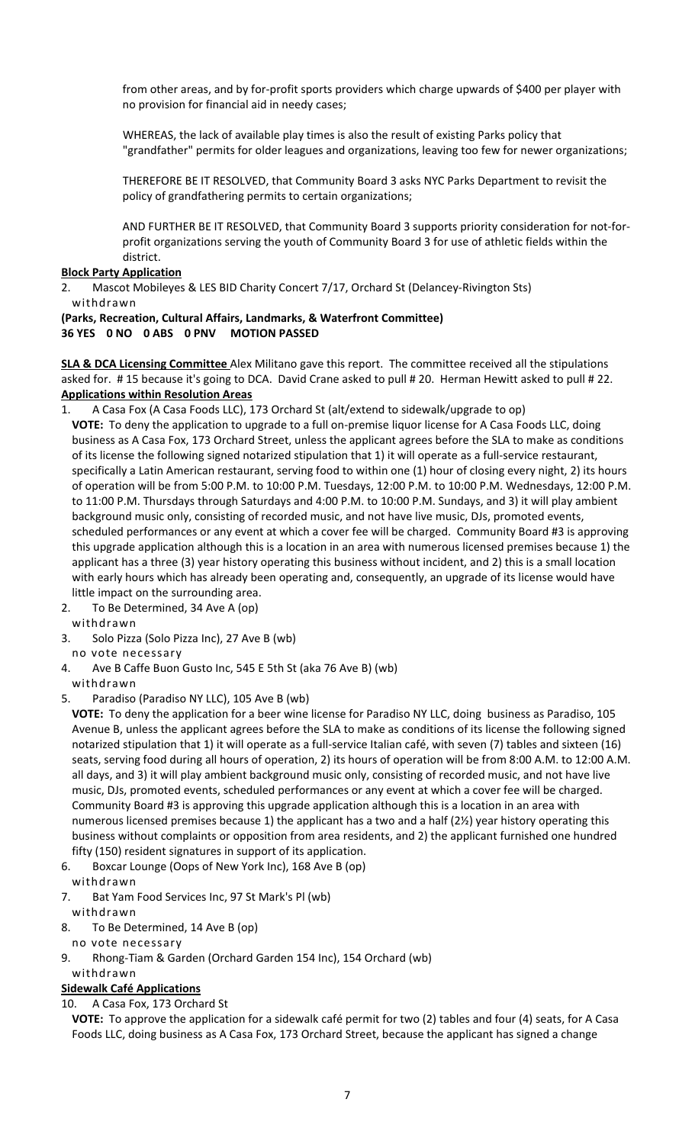from other areas, and by for‐profit sports providers which charge upwards of \$400 per player with no provision for financial aid in needy cases;

WHEREAS, the lack of available play times is also the result of existing Parks policy that "grandfather" permits for older leagues and organizations, leaving too few for newer organizations;

THEREFORE BE IT RESOLVED, that Community Board 3 asks NYC Parks Department to revisit the policy of grandfathering permits to certain organizations;

AND FURTHER BE IT RESOLVED, that Community Board 3 supports priority consideration for not‐for‐ profit organizations serving the youth of Community Board 3 for use of athletic fields within the district.

### **Block Party Application**

2. Mascot Mobileyes & LES BID Charity Concert 7/17, Orchard St (Delancey-Rivington Sts) withdrawn

# **(Parks, Recreation, Cultural Affairs, Landmarks, & Waterfront Committee) 36 YES 0 NO 0 ABS 0 PNV MOTION PASSED**

**SLA & DCA Licensing Committee** Alex Militano gave this report. The committee received all the stipulations asked for. # 15 because it's going to DCA. David Crane asked to pull # 20. Herman Hewitt asked to pull # 22. **Applications within Resolution Areas**

- 1. A Casa Fox (A Casa Foods LLC), 173 Orchard St (alt/extend to sidewalk/upgrade to op) **VOTE:** To deny the application to upgrade to a full on‐premise liquor license for A Casa Foods LLC, doing business as A Casa Fox, 173 Orchard Street, unless the applicant agrees before the SLA to make as conditions of its license the following signed notarized stipulation that 1) it will operate as a full‐service restaurant, specifically a Latin American restaurant, serving food to within one (1) hour of closing every night, 2) its hours of operation will be from 5:00 P.M. to 10:00 P.M. Tuesdays, 12:00 P.M. to 10:00 P.M. Wednesdays, 12:00 P.M. to 11:00 P.M. Thursdays through Saturdays and 4:00 P.M. to 10:00 P.M. Sundays, and 3) it will play ambient background music only, consisting of recorded music, and not have live music, DJs, promoted events, scheduled performances or any event at which a cover fee will be charged. Community Board #3 is approving this upgrade application although this is a location in an area with numerous licensed premises because 1) the applicant has a three (3) year history operating this business without incident, and 2) this is a small location with early hours which has already been operating and, consequently, an upgrade of its license would have little impact on the surrounding area.
- 2. To Be Determined, 34 Ave A (op)
- withdrawn
- 3. Solo Pizza (Solo Pizza Inc), 27 Ave B (wb)

no vote necessary

- 4. Ave B Caffe Buon Gusto Inc, 545 E 5th St (aka 76 Ave B) (wb)
- withdrawn
- 5. Paradiso (Paradiso NY LLC), 105 Ave B (wb)

**VOTE:** To deny the application for a beer wine license for Paradiso NY LLC, doing business as Paradiso, 105 Avenue B, unless the applicant agrees before the SLA to make as conditions of its license the following signed notarized stipulation that 1) it will operate as a full‐service Italian café, with seven (7) tables and sixteen (16) seats, serving food during all hours of operation, 2) its hours of operation will be from 8:00 A.M. to 12:00 A.M. all days, and 3) it will play ambient background music only, consisting of recorded music, and not have live music, DJs, promoted events, scheduled performances or any event at which a cover fee will be charged. Community Board #3 is approving this upgrade application although this is a location in an area with numerous licensed premises because 1) the applicant has a two and a half (2½) year history operating this business without complaints or opposition from area residents, and 2) the applicant furnished one hundred fifty (150) resident signatures in support of its application.

- 6. Boxcar Lounge (Oops of New York Inc), 168 Ave B (op)
- withdrawn
- 7. Bat Yam Food Services Inc, 97 St Mark's Pl (wb) withdrawn
- 8. To Be Determined, 14 Ave B (op)
- no vote necessary
- 9. Rhong‐Tiam & Garden (Orchard Garden 154 Inc), 154 Orchard (wb)

### withdrawn

# **Sidewalk Café Applications**

10. A Casa Fox, 173 Orchard St

**VOTE:** To approve the application for a sidewalk café permit for two (2) tables and four (4) seats, for A Casa Foods LLC, doing business as A Casa Fox, 173 Orchard Street, because the applicant has signed a change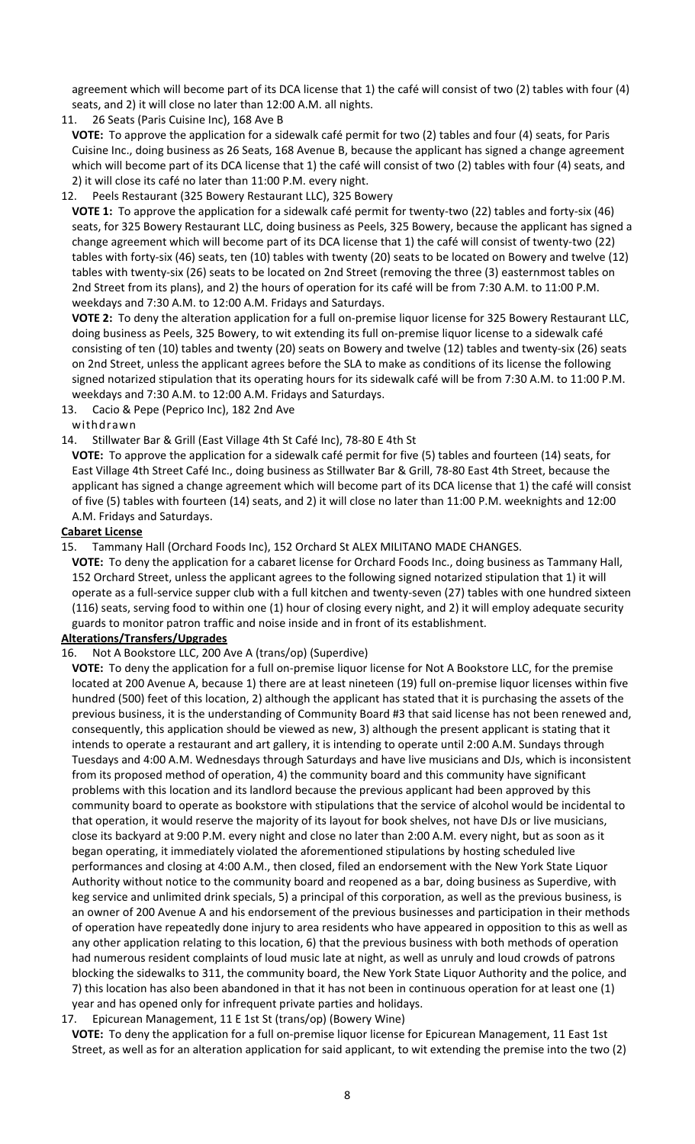agreement which will become part of its DCA license that 1) the café will consist of two (2) tables with four (4) seats, and 2) it will close no later than 12:00 A.M. all nights.

11. 26 Seats (Paris Cuisine Inc), 168 Ave B

**VOTE:** To approve the application for a sidewalk café permit for two (2) tables and four (4) seats, for Paris Cuisine Inc., doing business as 26 Seats, 168 Avenue B, because the applicant has signed a change agreement which will become part of its DCA license that 1) the café will consist of two (2) tables with four (4) seats, and 2) it will close its café no later than 11:00 P.M. every night.

12. Peels Restaurant (325 Bowery Restaurant LLC), 325 Bowery

**VOTE 1:** To approve the application for a sidewalk café permit for twenty‐two (22) tables and forty‐six (46) seats, for 325 Bowery Restaurant LLC, doing business as Peels, 325 Bowery, because the applicant has signed a change agreement which will become part of its DCA license that 1) the café will consist of twenty‐two (22) tables with forty‐six (46) seats, ten (10) tables with twenty (20) seats to be located on Bowery and twelve (12) tables with twenty‐six (26) seats to be located on 2nd Street (removing the three (3) easternmost tables on 2nd Street from its plans), and 2) the hours of operation for its café will be from 7:30 A.M. to 11:00 P.M. weekdays and 7:30 A.M. to 12:00 A.M. Fridays and Saturdays.

**VOTE 2:** To deny the alteration application for a full on‐premise liquor license for 325 Bowery Restaurant LLC, doing business as Peels, 325 Bowery, to wit extending its full on-premise liquor license to a sidewalk café consisting of ten (10) tables and twenty (20) seats on Bowery and twelve (12) tables and twenty‐six (26) seats on 2nd Street, unless the applicant agrees before the SLA to make as conditions of its license the following signed notarized stipulation that its operating hours for its sidewalk café will be from 7:30 A.M. to 11:00 P.M. weekdays and 7:30 A.M. to 12:00 A.M. Fridays and Saturdays.

13. Cacio & Pepe (Peprico Inc), 182 2nd Ave

### withdrawn

14. Stillwater Bar & Grill (East Village 4th St Café Inc), 78‐80 E 4th St

**VOTE:** To approve the application for a sidewalk café permit for five (5) tables and fourteen (14) seats, for East Village 4th Street Café Inc., doing business as Stillwater Bar & Grill, 78‐80 East 4th Street, because the applicant has signed a change agreement which will become part of its DCA license that 1) the café will consist of five (5) tables with fourteen (14) seats, and 2) it will close no later than 11:00 P.M. weeknights and 12:00 A.M. Fridays and Saturdays.

### **Cabaret License**

15. Tammany Hall (Orchard Foods Inc), 152 Orchard St ALEX MILITANO MADE CHANGES.

**VOTE:** To deny the application for a cabaret license for Orchard Foods Inc., doing business as Tammany Hall, 152 Orchard Street, unless the applicant agrees to the following signed notarized stipulation that 1) it will operate as a full‐service supper club with a full kitchen and twenty‐seven (27) tables with one hundred sixteen (116) seats, serving food to within one (1) hour of closing every night, and 2) it will employ adequate security guards to monitor patron traffic and noise inside and in front of its establishment.

# **Alterations/Transfers/Upgrades**

# 16. Not A Bookstore LLC, 200 Ave A (trans/op) (Superdive)

**VOTE:** To deny the application for a full on‐premise liquor license for Not A Bookstore LLC, for the premise located at 200 Avenue A, because 1) there are at least nineteen (19) full on‐premise liquor licenses within five hundred (500) feet of this location, 2) although the applicant has stated that it is purchasing the assets of the previous business, it is the understanding of Community Board #3 that said license has not been renewed and, consequently, this application should be viewed as new, 3) although the present applicant is stating that it intends to operate a restaurant and art gallery, it is intending to operate until 2:00 A.M. Sundays through Tuesdays and 4:00 A.M. Wednesdays through Saturdays and have live musicians and DJs, which is inconsistent from its proposed method of operation, 4) the community board and this community have significant problems with this location and its landlord because the previous applicant had been approved by this community board to operate as bookstore with stipulations that the service of alcohol would be incidental to that operation, it would reserve the majority of its layout for book shelves, not have DJs or live musicians, close its backyard at 9:00 P.M. every night and close no later than 2:00 A.M. every night, but as soon as it began operating, it immediately violated the aforementioned stipulations by hosting scheduled live performances and closing at 4:00 A.M., then closed, filed an endorsement with the New York State Liquor Authority without notice to the community board and reopened as a bar, doing business as Superdive, with keg service and unlimited drink specials, 5) a principal of this corporation, as well as the previous business, is an owner of 200 Avenue A and his endorsement of the previous businesses and participation in their methods of operation have repeatedly done injury to area residents who have appeared in opposition to this as well as any other application relating to this location, 6) that the previous business with both methods of operation had numerous resident complaints of loud music late at night, as well as unruly and loud crowds of patrons blocking the sidewalks to 311, the community board, the New York State Liquor Authority and the police, and 7) this location has also been abandoned in that it has not been in continuous operation for at least one (1) year and has opened only for infrequent private parties and holidays.

### 17. Epicurean Management, 11 E 1st St (trans/op) (Bowery Wine)

**VOTE:** To deny the application for a full on‐premise liquor license for Epicurean Management, 11 East 1st Street, as well as for an alteration application for said applicant, to wit extending the premise into the two (2)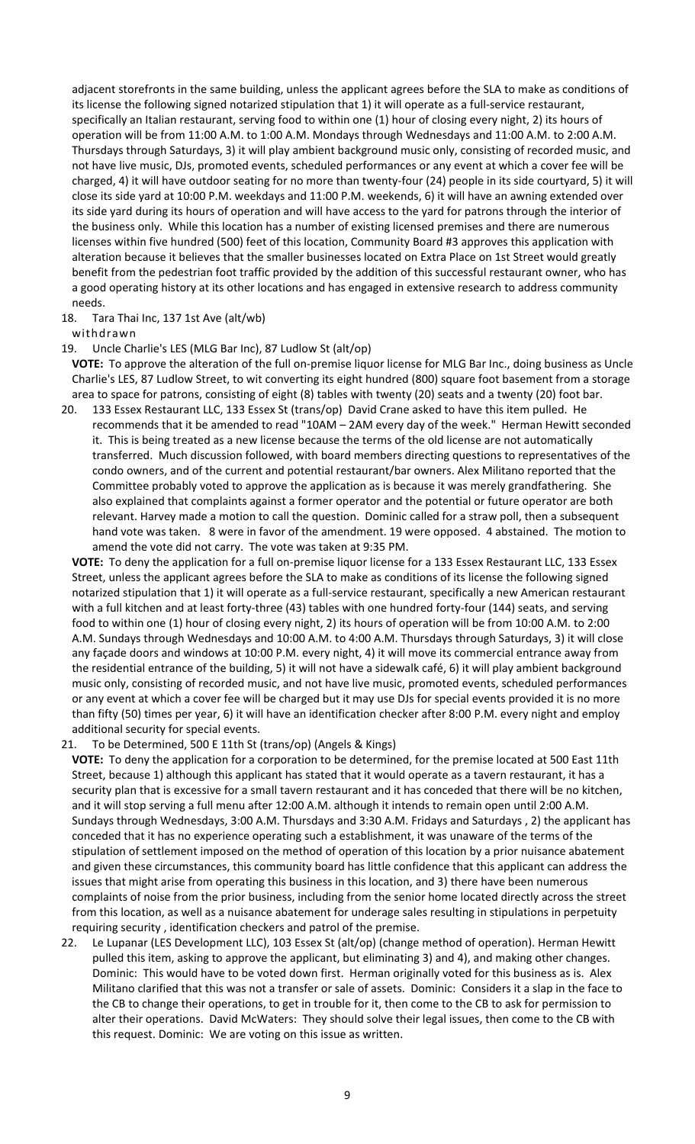adjacent storefronts in the same building, unless the applicant agrees before the SLA to make as conditions of its license the following signed notarized stipulation that 1) it will operate as a full‐service restaurant, specifically an Italian restaurant, serving food to within one (1) hour of closing every night, 2) its hours of operation will be from 11:00 A.M. to 1:00 A.M. Mondays through Wednesdays and 11:00 A.M. to 2:00 A.M. Thursdays through Saturdays, 3) it will play ambient background music only, consisting of recorded music, and not have live music, DJs, promoted events, scheduled performances or any event at which a cover fee will be charged, 4) it will have outdoor seating for no more than twenty‐four (24) people in its side courtyard, 5) it will close its side yard at 10:00 P.M. weekdays and 11:00 P.M. weekends, 6) it will have an awning extended over its side yard during its hours of operation and will have access to the yard for patrons through the interior of the business only. While this location has a number of existing licensed premises and there are numerous licenses within five hundred (500) feet of this location, Community Board #3 approves this application with alteration because it believes that the smaller businesses located on Extra Place on 1st Street would greatly benefit from the pedestrian foot traffic provided by the addition of this successful restaurant owner, who has a good operating history at its other locations and has engaged in extensive research to address community needs.

18. Tara Thai Inc, 137 1st Ave (alt/wb)

withdrawn

#### 19. Uncle Charlie's LES (MLG Bar Inc), 87 Ludlow St (alt/op)

**VOTE:** To approve the alteration of the full on‐premise liquor license for MLG Bar Inc., doing business as Uncle Charlie's LES, 87 Ludlow Street, to wit converting its eight hundred (800) square foot basement from a storage area to space for patrons, consisting of eight (8) tables with twenty (20) seats and a twenty (20) foot bar.

20. 133 Essex Restaurant LLC, 133 Essex St (trans/op) David Crane asked to have this item pulled. He recommends that it be amended to read "10AM – 2AM every day of the week." Herman Hewitt seconded it. This is being treated as a new license because the terms of the old license are not automatically transferred. Much discussion followed, with board members directing questions to representatives of the condo owners, and of the current and potential restaurant/bar owners. Alex Militano reported that the Committee probably voted to approve the application as is because it was merely grandfathering. She also explained that complaints against a former operator and the potential or future operator are both relevant. Harvey made a motion to call the question. Dominic called for a straw poll, then a subsequent hand vote was taken. 8 were in favor of the amendment. 19 were opposed. 4 abstained. The motion to amend the vote did not carry. The vote was taken at 9:35 PM.

**VOTE:** To deny the application for a full on‐premise liquor license for a 133 Essex Restaurant LLC, 133 Essex Street, unless the applicant agrees before the SLA to make as conditions of its license the following signed notarized stipulation that 1) it will operate as a full‐service restaurant, specifically a new American restaurant with a full kitchen and at least forty-three (43) tables with one hundred forty-four (144) seats, and serving food to within one (1) hour of closing every night, 2) its hours of operation will be from 10:00 A.M. to 2:00 A.M. Sundays through Wednesdays and 10:00 A.M. to 4:00 A.M. Thursdays through Saturdays, 3) it will close any façade doors and windows at 10:00 P.M. every night, 4) it will move its commercial entrance away from the residential entrance of the building, 5) it will not have a sidewalk café, 6) it will play ambient background music only, consisting of recorded music, and not have live music, promoted events, scheduled performances or any event at which a cover fee will be charged but it may use DJs for special events provided it is no more than fifty (50) times per year, 6) it will have an identification checker after 8:00 P.M. every night and employ additional security for special events.

21. To be Determined, 500 E 11th St (trans/op) (Angels & Kings)

**VOTE:** To deny the application for a corporation to be determined, for the premise located at 500 East 11th Street, because 1) although this applicant has stated that it would operate as a tavern restaurant, it has a security plan that is excessive for a small tavern restaurant and it has conceded that there will be no kitchen, and it will stop serving a full menu after 12:00 A.M. although it intends to remain open until 2:00 A.M. Sundays through Wednesdays, 3:00 A.M. Thursdays and 3:30 A.M. Fridays and Saturdays , 2) the applicant has conceded that it has no experience operating such a establishment, it was unaware of the terms of the stipulation of settlement imposed on the method of operation of this location by a prior nuisance abatement and given these circumstances, this community board has little confidence that this applicant can address the issues that might arise from operating this business in this location, and 3) there have been numerous complaints of noise from the prior business, including from the senior home located directly across the street from this location, as well as a nuisance abatement for underage sales resulting in stipulations in perpetuity requiring security , identification checkers and patrol of the premise.

22. Le Lupanar (LES Development LLC), 103 Essex St (alt/op) (change method of operation). Herman Hewitt pulled this item, asking to approve the applicant, but eliminating 3) and 4), and making other changes. Dominic: This would have to be voted down first. Herman originally voted for this business as is. Alex Militano clarified that this was not a transfer or sale of assets. Dominic: Considers it a slap in the face to the CB to change their operations, to get in trouble for it, then come to the CB to ask for permission to alter their operations. David McWaters: They should solve their legal issues, then come to the CB with this request. Dominic: We are voting on this issue as written.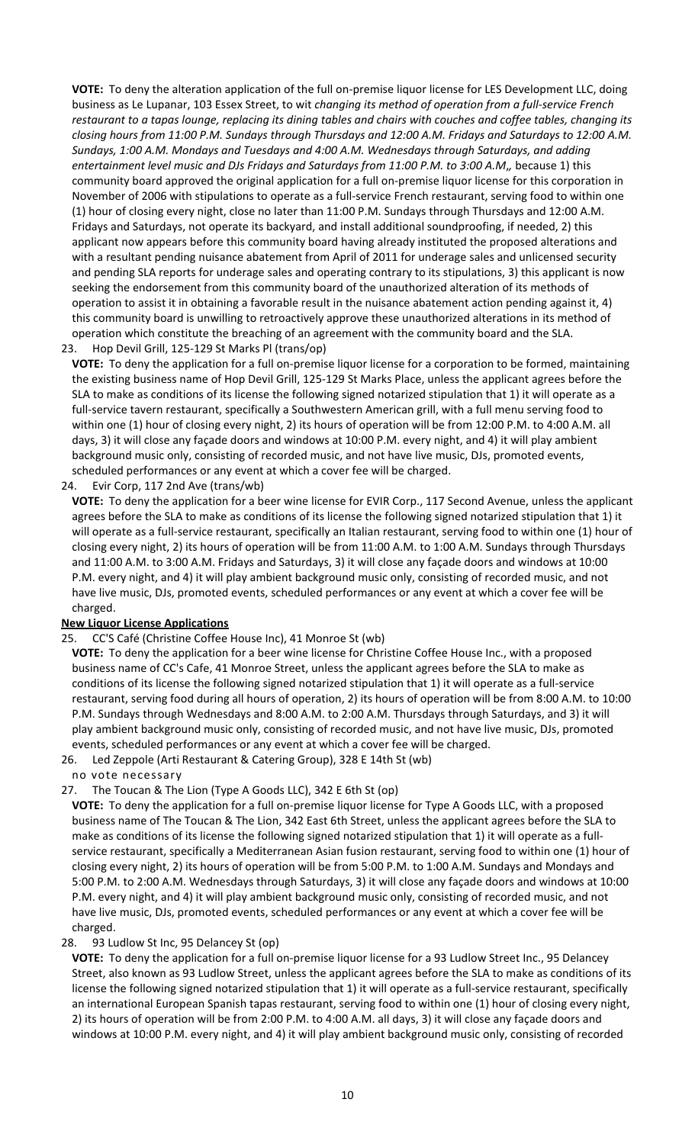**VOTE:** To deny the alteration application of the full on‐premise liquor license for LES Development LLC, doing business as Le Lupanar, 103 Essex Street, to wit *changing its method of operation from a full‐service French* restaurant to a tapas lounge, replacing its dining tables and chairs with couches and coffee tables, changing its closing hours from 11:00 P.M. Sundays through Thursdays and 12:00 A.M. Fridays and Saturdays to 12:00 A.M. *Sundays, 1:00 A.M. Mondays and Tuesdays and 4:00 A.M. Wednesdays through Saturdays, and adding entertainment level music and DJs Fridays and Saturdays from 11:00 P.M. to 3:00 A.M*,*,* because 1) this community board approved the original application for a full on‐premise liquor license for this corporation in November of 2006 with stipulations to operate as a full‐service French restaurant, serving food to within one (1) hour of closing every night, close no later than 11:00 P.M. Sundays through Thursdays and 12:00 A.M. Fridays and Saturdays, not operate its backyard, and install additional soundproofing, if needed, 2) this applicant now appears before this community board having already instituted the proposed alterations and with a resultant pending nuisance abatement from April of 2011 for underage sales and unlicensed security and pending SLA reports for underage sales and operating contrary to its stipulations, 3) this applicant is now seeking the endorsement from this community board of the unauthorized alteration of its methods of operation to assist it in obtaining a favorable result in the nuisance abatement action pending against it, 4) this community board is unwilling to retroactively approve these unauthorized alterations in its method of operation which constitute the breaching of an agreement with the community board and the SLA. 23. Hop Devil Grill, 125‐129 St Marks Pl (trans/op)

**VOTE:** To deny the application for a full on‐premise liquor license for a corporation to be formed, maintaining the existing business name of Hop Devil Grill, 125‐129 St Marks Place, unless the applicant agrees before the SLA to make as conditions of its license the following signed notarized stipulation that 1) it will operate as a full-service tavern restaurant, specifically a Southwestern American grill, with a full menu serving food to within one (1) hour of closing every night, 2) its hours of operation will be from 12:00 P.M. to 4:00 A.M. all days, 3) it will close any façade doors and windows at 10:00 P.M. every night, and 4) it will play ambient background music only, consisting of recorded music, and not have live music, DJs, promoted events, scheduled performances or any event at which a cover fee will be charged.

24. Evir Corp, 117 2nd Ave (trans/wb)

**VOTE:** To deny the application for a beer wine license for EVIR Corp., 117 Second Avenue, unless the applicant agrees before the SLA to make as conditions of its license the following signed notarized stipulation that 1) it will operate as a full-service restaurant, specifically an Italian restaurant, serving food to within one (1) hour of closing every night, 2) its hours of operation will be from 11:00 A.M. to 1:00 A.M. Sundays through Thursdays and 11:00 A.M. to 3:00 A.M. Fridays and Saturdays, 3) it will close any façade doors and windows at 10:00 P.M. every night, and 4) it will play ambient background music only, consisting of recorded music, and not have live music, DJs, promoted events, scheduled performances or any event at which a cover fee will be charged.

# **New Liquor License Applications**

# 25. CC'S Café (Christine Coffee House Inc), 41 Monroe St (wb)

**VOTE:** To deny the application for a beer wine license for Christine Coffee House Inc., with a proposed business name of CC's Cafe, 41 Monroe Street, unless the applicant agrees before the SLA to make as conditions of its license the following signed notarized stipulation that 1) it will operate as a full‐service restaurant, serving food during all hours of operation, 2) its hours of operation will be from 8:00 A.M. to 10:00 P.M. Sundays through Wednesdays and 8:00 A.M. to 2:00 A.M. Thursdays through Saturdays, and 3) it will play ambient background music only, consisting of recorded music, and not have live music, DJs, promoted events, scheduled performances or any event at which a cover fee will be charged.

26. Led Zeppole (Arti Restaurant & Catering Group), 328 E 14th St (wb)

no vote necessary

### 27. The Toucan & The Lion (Type A Goods LLC), 342 E 6th St (op)

**VOTE:** To deny the application for a full on‐premise liquor license for Type A Goods LLC, with a proposed business name of The Toucan & The Lion, 342 East 6th Street, unless the applicant agrees before the SLA to make as conditions of its license the following signed notarized stipulation that 1) it will operate as a full‐ service restaurant, specifically a Mediterranean Asian fusion restaurant, serving food to within one (1) hour of closing every night, 2) its hours of operation will be from 5:00 P.M. to 1:00 A.M. Sundays and Mondays and 5:00 P.M. to 2:00 A.M. Wednesdays through Saturdays, 3) it will close any façade doors and windows at 10:00 P.M. every night, and 4) it will play ambient background music only, consisting of recorded music, and not have live music, DJs, promoted events, scheduled performances or any event at which a cover fee will be charged.

# 28. 93 Ludlow St Inc, 95 Delancey St (op)

**VOTE:** To deny the application for a full on‐premise liquor license for a 93 Ludlow Street Inc., 95 Delancey Street, also known as 93 Ludlow Street, unless the applicant agrees before the SLA to make as conditions of its license the following signed notarized stipulation that 1) it will operate as a full‐service restaurant, specifically an international European Spanish tapas restaurant, serving food to within one (1) hour of closing every night, 2) its hours of operation will be from 2:00 P.M. to 4:00 A.M. all days, 3) it will close any façade doors and windows at 10:00 P.M. every night, and 4) it will play ambient background music only, consisting of recorded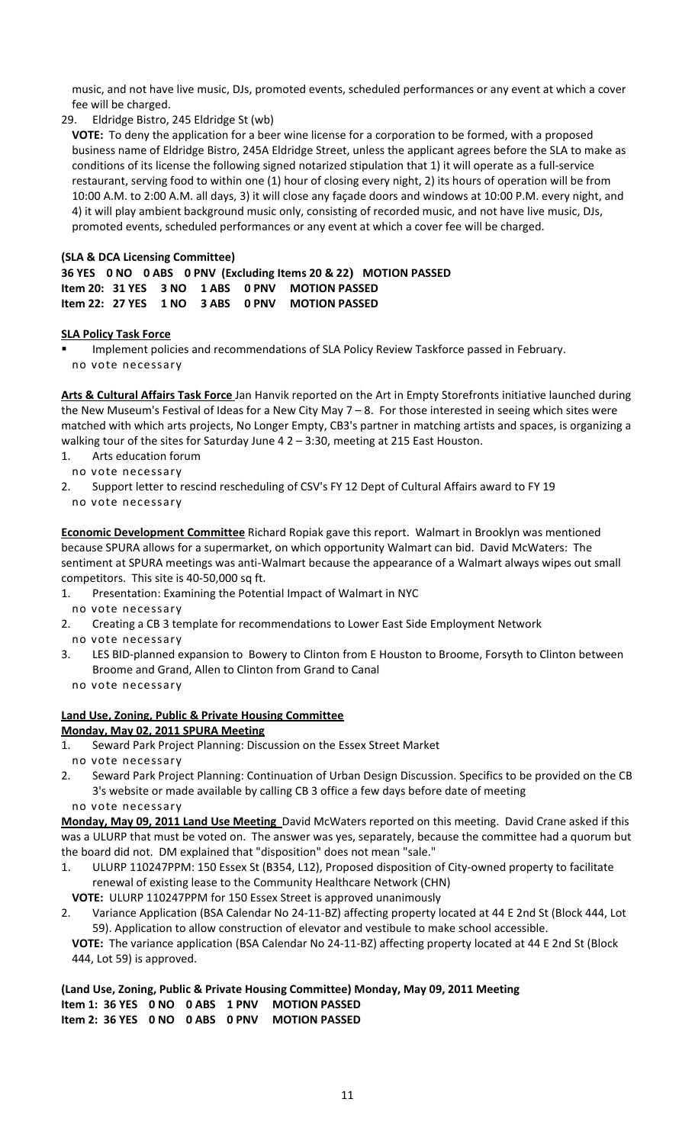music, and not have live music, DJs, promoted events, scheduled performances or any event at which a cover fee will be charged.

29. Eldridge Bistro, 245 Eldridge St (wb)

**VOTE:** To deny the application for a beer wine license for a corporation to be formed, with a proposed business name of Eldridge Bistro, 245A Eldridge Street, unless the applicant agrees before the SLA to make as conditions of its license the following signed notarized stipulation that 1) it will operate as a full‐service restaurant, serving food to within one (1) hour of closing every night, 2) its hours of operation will be from 10:00 A.M. to 2:00 A.M. all days, 3) it will close any façade doors and windows at 10:00 P.M. every night, and 4) it will play ambient background music only, consisting of recorded music, and not have live music, DJs, promoted events, scheduled performances or any event at which a cover fee will be charged.

# **(SLA & DCA Licensing Committee)**

**36 YES 0 NO 0 ABS 0 PNV (Excluding Items 20 & 22) MOTION PASSED Item 20: 31 YES 3 NO 1 ABS 0 PNV MOTION PASSED Item 22: 27 YES 1 NO 3 ABS 0 PNV MOTION PASSED**

### **SLA Policy Task Force**

 Implement policies and recommendations of SLA Policy Review Taskforce passed in February. no vote necessary

**Arts & Cultural Affairs Task Force** Jan Hanvik reported on the Art in Empty Storefronts initiative launched during the New Museum's Festival of Ideas for a New City May 7 – 8. For those interested in seeing which sites were matched with which arts projects, No Longer Empty, CB3's partner in matching artists and spaces, is organizing a walking tour of the sites for Saturday June 4 2 – 3:30, meeting at 215 East Houston.

- 1. Arts education forum
- no vote necessary
- 2. Support letter to rescind rescheduling of CSV's FY 12 Dept of Cultural Affairs award to FY 19 no vote necessary

**Economic Development Committee** Richard Ropiak gave this report. Walmart in Brooklyn was mentioned because SPURA allows for a supermarket, on which opportunity Walmart can bid. David McWaters: The sentiment at SPURA meetings was anti-Walmart because the appearance of a Walmart always wipes out small competitors. This site is 40‐50,000 sq ft.

- 1. Presentation: Examining the Potential Impact of Walmart in NYC no vote necessary
- 2. Creating a CB 3 template for recommendations to Lower East Side Employment Network no vote necessary
- 3. LES BID‐planned expansion to Bowery to Clinton from E Houston to Broome, Forsyth to Clinton between Broome and Grand, Allen to Clinton from Grand to Canal
- no vote necessary

444, Lot 59) is approved.

# **Land Use, Zoning, Public & Private Housing Committee**

# **Monday, May 02, 2011 SPURA Meeting**

- 1. Seward Park Project Planning: Discussion on the Essex Street Market no vote necessary
- 2. Seward Park Project Planning: Continuation of Urban Design Discussion. Specifics to be provided on the CB 3's website or made available by calling CB 3 office a few days before date of meeting no vote necessary

**Monday, May 09, 2011 Land Use Meeting** David McWaters reported on this meeting. David Crane asked if this was a ULURP that must be voted on. The answer was yes, separately, because the committee had a quorum but the board did not. DM explained that "disposition" does not mean "sale."

1. ULURP 110247PPM: 150 Essex St (B354, L12), Proposed disposition of City‐owned property to facilitate renewal of existing lease to the Community Healthcare Network (CHN)

**VOTE:** ULURP 110247PPM for 150 Essex Street is approved unanimously

2. Variance Application (BSA Calendar No 24‐11‐BZ) affecting property located at 44 E 2nd St (Block 444, Lot 59). Application to allow construction of elevator and vestibule to make school accessible. **VOTE:** The variance application (BSA Calendar No 24‐11‐BZ) affecting property located at 44 E 2nd St (Block

**(Land Use, Zoning, Public & Private Housing Committee) Monday, May 09, 2011 Meeting Item 1: 36 YES 0 NO 0 ABS 1 PNV MOTION PASSED Item 2: 36 YES 0 NO 0 ABS 0 PNV MOTION PASSED**